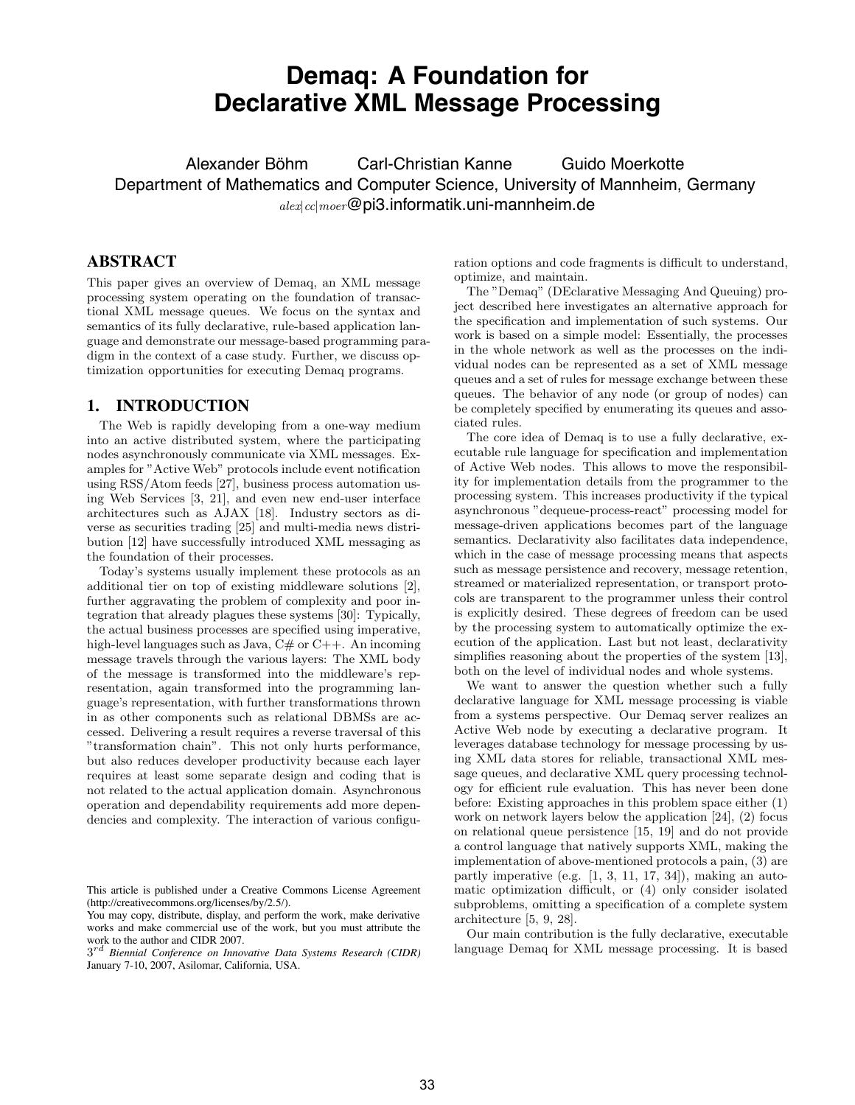# **Demaq: A Foundation for Declarative XML Message Processing**

Alexander Böhm Carl-Christian Kanne Guido Moerkotte Department of Mathematics and Computer Science, University of Mannheim, Germany  $_{alex|cc|meer}$ @pi3.informatik.uni-mannheim.de

# **ABSTRACT**

This paper gives an overview of Demaq, an XML message processing system operating on the foundation of transactional XML message queues. We focus on the syntax and semantics of its fully declarative, rule-based application language and demonstrate our message-based programming paradigm in the context of a case study. Further, we discuss optimization opportunities for executing Demaq programs.

# **1. INTRODUCTION**

The Web is rapidly developing from a one-way medium into an active distributed system, where the participating nodes asynchronously communicate via XML messages. Examples for "Active Web" protocols include event notification using RSS/Atom feeds [27], business process automation using Web Services [3, 21], and even new end-user interface architectures such as AJAX [18]. Industry sectors as diverse as securities trading [25] and multi-media news distribution [12] have successfully introduced XML messaging as the foundation of their processes.

Today's systems usually implement these protocols as an additional tier on top of existing middleware solutions [2], further aggravating the problem of complexity and poor integration that already plagues these systems [30]: Typically, the actual business processes are specified using imperative, high-level languages such as Java,  $C#$  or  $C++$ . An incoming message travels through the various layers: The XML body of the message is transformed into the middleware's representation, again transformed into the programming language's representation, with further transformations thrown in as other components such as relational DBMSs are accessed. Delivering a result requires a reverse traversal of this "transformation chain". This not only hurts performance, but also reduces developer productivity because each layer requires at least some separate design and coding that is not related to the actual application domain. Asynchronous operation and dependability requirements add more dependencies and complexity. The interaction of various configuration options and code fragments is difficult to understand, optimize, and maintain.

The "Demaq" (DEclarative Messaging And Queuing) project described here investigates an alternative approach for the specification and implementation of such systems. Our work is based on a simple model: Essentially, the processes in the whole network as well as the processes on the individual nodes can be represented as a set of XML message queues and a set of rules for message exchange between these queues. The behavior of any node (or group of nodes) can be completely specified by enumerating its queues and associated rules.

The core idea of Demaq is to use a fully declarative, executable rule language for specification and implementation of Active Web nodes. This allows to move the responsibility for implementation details from the programmer to the processing system. This increases productivity if the typical asynchronous "dequeue-process-react" processing model for message-driven applications becomes part of the language semantics. Declarativity also facilitates data independence, which in the case of message processing means that aspects such as message persistence and recovery, message retention, streamed or materialized representation, or transport protocols are transparent to the programmer unless their control is explicitly desired. These degrees of freedom can be used by the processing system to automatically optimize the execution of the application. Last but not least, declarativity simplifies reasoning about the properties of the system [13], both on the level of individual nodes and whole systems.

We want to answer the question whether such a fully declarative language for XML message processing is viable from a systems perspective. Our Demaq server realizes an Active Web node by executing a declarative program. It leverages database technology for message processing by using XML data stores for reliable, transactional XML message queues, and declarative XML query processing technology for efficient rule evaluation. This has never been done before: Existing approaches in this problem space either (1) work on network layers below the application [24], (2) focus on relational queue persistence [15, 19] and do not provide a control language that natively supports XML, making the implementation of above-mentioned protocols a pain, (3) are partly imperative (e.g.  $[1, 3, 11, 17, 34]$ ), making an automatic optimization difficult, or (4) only consider isolated subproblems, omitting a specification of a complete system architecture [5, 9, 28].

Our main contribution is the fully declarative, executable language Demaq for XML message processing. It is based

This article is published under a Creative Commons License Agreement (http://creativecommons.org/licenses/by/2.5/).

You may copy, distribute, display, and perform the work, make derivative works and make commercial use of the work, but you must attribute the work to the author and CIDR 2007.

<sup>3</sup>rd *Biennial Conference on Innovative Data Systems Research (CIDR)* January 7-10, 2007, Asilomar, California, USA.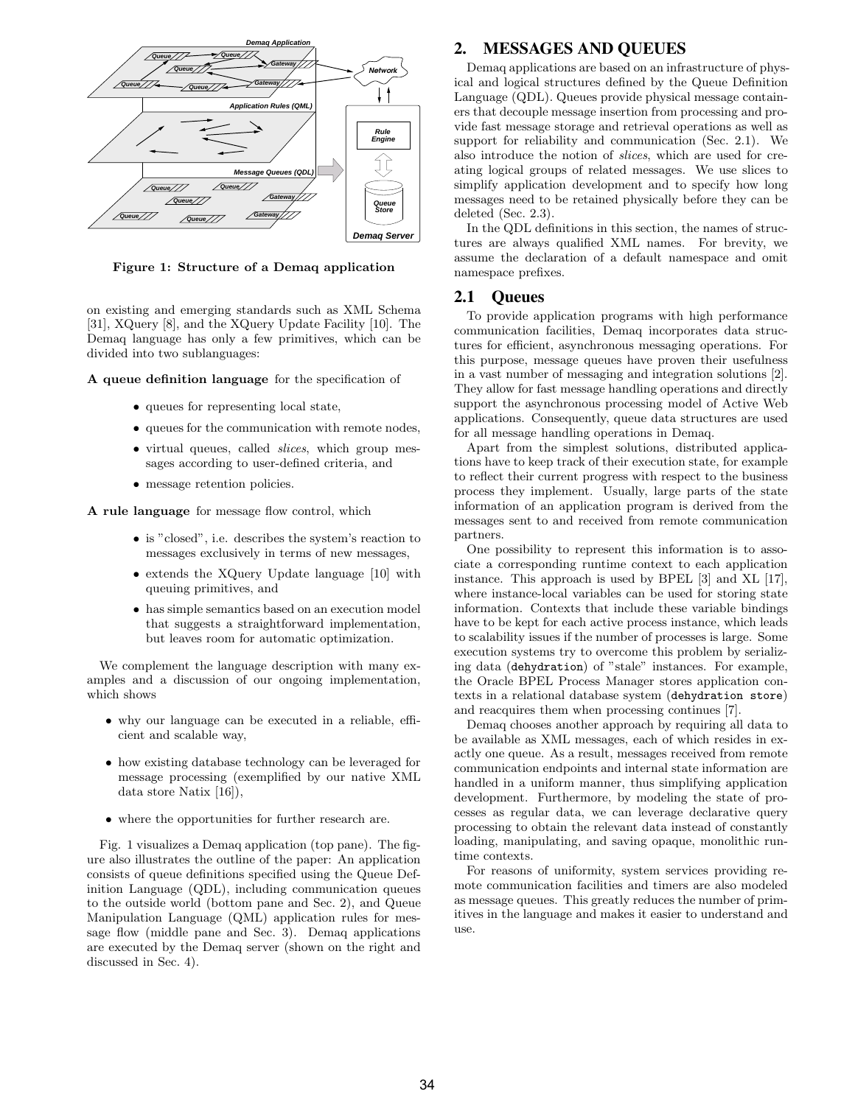

Figure 1: Structure of a Demaq application

on existing and emerging standards such as XML Schema [31], XQuery [8], and the XQuery Update Facility [10]. The Demaq language has only a few primitives, which can be divided into two sublanguages:

A queue definition language for the specification of

- queues for representing local state,
- queues for the communication with remote nodes,
- virtual queues, called *slices*, which group messages according to user-defined criteria, and
- message retention policies.

A rule language for message flow control, which

- is "closed", i.e. describes the system's reaction to messages exclusively in terms of new messages,
- extends the XQuery Update language [10] with queuing primitives, and
- has simple semantics based on an execution model that suggests a straightforward implementation, but leaves room for automatic optimization.

We complement the language description with many examples and a discussion of our ongoing implementation, which shows

- why our language can be executed in a reliable, efficient and scalable way,
- how existing database technology can be leveraged for message processing (exemplified by our native XML data store Natix [16]),
- $\bullet\,$  where the opportunities for further research are.

Fig. 1 visualizes a Demaq application (top pane). The figure also illustrates the outline of the paper: An application consists of queue definitions specified using the Queue Definition Language (QDL), including communication queues to the outside world (bottom pane and Sec. 2), and Queue Manipulation Language (QML) application rules for message flow (middle pane and Sec. 3). Demaq applications are executed by the Demaq server (shown on the right and discussed in Sec. 4).

# **2. MESSAGES AND QUEUES**

Demaq applications are based on an infrastructure of physical and logical structures defined by the Queue Definition Language (QDL). Queues provide physical message containers that decouple message insertion from processing and provide fast message storage and retrieval operations as well as support for reliability and communication (Sec. 2.1). We also introduce the notion of slices, which are used for creating logical groups of related messages. We use slices to simplify application development and to specify how long messages need to be retained physically before they can be deleted (Sec. 2.3).

In the QDL definitions in this section, the names of structures are always qualified XML names. For brevity, we assume the declaration of a default namespace and omit namespace prefixes.

### **2.1 Queues**

To provide application programs with high performance communication facilities, Demaq incorporates data structures for efficient, asynchronous messaging operations. For this purpose, message queues have proven their usefulness in a vast number of messaging and integration solutions [2]. They allow for fast message handling operations and directly support the asynchronous processing model of Active Web applications. Consequently, queue data structures are used for all message handling operations in Demaq.

Apart from the simplest solutions, distributed applications have to keep track of their execution state, for example to reflect their current progress with respect to the business process they implement. Usually, large parts of the state information of an application program is derived from the messages sent to and received from remote communication partners.

One possibility to represent this information is to associate a corresponding runtime context to each application instance. This approach is used by BPEL [3] and XL [17], where instance-local variables can be used for storing state information. Contexts that include these variable bindings have to be kept for each active process instance, which leads to scalability issues if the number of processes is large. Some execution systems try to overcome this problem by serializing data (dehydration) of "stale" instances. For example, the Oracle BPEL Process Manager stores application contexts in a relational database system (dehydration store) and reacquires them when processing continues [7].

Demaq chooses another approach by requiring all data to be available as XML messages, each of which resides in exactly one queue. As a result, messages received from remote communication endpoints and internal state information are handled in a uniform manner, thus simplifying application development. Furthermore, by modeling the state of processes as regular data, we can leverage declarative query processing to obtain the relevant data instead of constantly loading, manipulating, and saving opaque, monolithic runtime contexts.

For reasons of uniformity, system services providing remote communication facilities and timers are also modeled as message queues. This greatly reduces the number of primitives in the language and makes it easier to understand and use.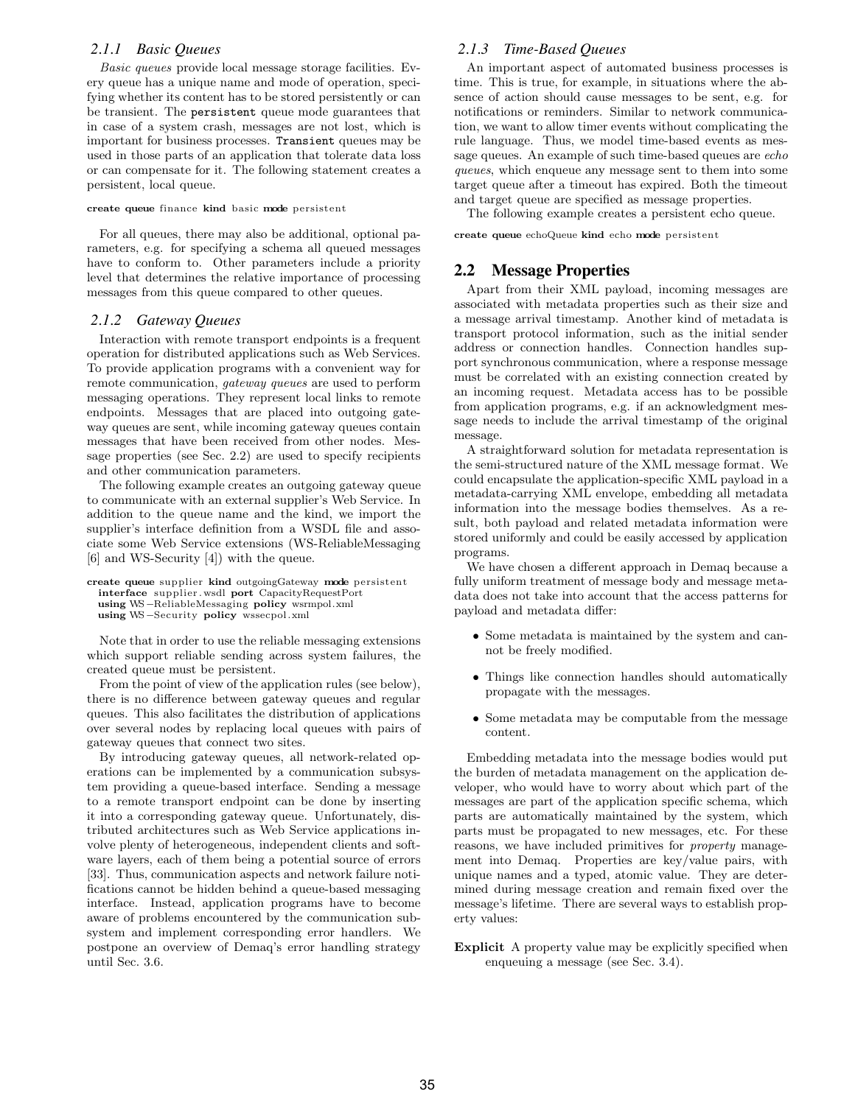#### *2.1.1 Basic Queues*

Basic queues provide local message storage facilities. Every queue has a unique name and mode of operation, specifying whether its content has to be stored persistently or can be transient. The persistent queue mode guarantees that in case of a system crash, messages are not lost, which is important for business processes. Transient queues may be used in those parts of an application that tolerate data loss or can compensate for it. The following statement creates a persistent, local queue.

#### create queue finance kind basic mode persistent

For all queues, there may also be additional, optional parameters, e.g. for specifying a schema all queued messages have to conform to. Other parameters include a priority level that determines the relative importance of processing messages from this queue compared to other queues.

#### *2.1.2 Gateway Queues*

Interaction with remote transport endpoints is a frequent operation for distributed applications such as Web Services. To provide application programs with a convenient way for remote communication, gateway queues are used to perform messaging operations. They represent local links to remote endpoints. Messages that are placed into outgoing gateway queues are sent, while incoming gateway queues contain messages that have been received from other nodes. Message properties (see Sec. 2.2) are used to specify recipients and other communication parameters.

The following example creates an outgoing gateway queue to communicate with an external supplier's Web Service. In addition to the queue name and the kind, we import the supplier's interface definition from a WSDL file and associate some Web Service extensions (WS-ReliableMessaging [6] and WS-Security [4]) with the queue.

```
create queue supplier kind outgoingGateway mode persistent
 interface supplier . wsdl port CapacityRequestPort
 using WS−ReliableMessaging policy wsrmpol.xml
 using WS−Security policy wssecpol.xml
```
Note that in order to use the reliable messaging extensions which support reliable sending across system failures, the created queue must be persistent.

From the point of view of the application rules (see below), there is no difference between gateway queues and regular queues. This also facilitates the distribution of applications over several nodes by replacing local queues with pairs of gateway queues that connect two sites.

By introducing gateway queues, all network-related operations can be implemented by a communication subsystem providing a queue-based interface. Sending a message to a remote transport endpoint can be done by inserting it into a corresponding gateway queue. Unfortunately, distributed architectures such as Web Service applications involve plenty of heterogeneous, independent clients and software layers, each of them being a potential source of errors [33]. Thus, communication aspects and network failure notifications cannot be hidden behind a queue-based messaging interface. Instead, application programs have to become aware of problems encountered by the communication subsystem and implement corresponding error handlers. We postpone an overview of Demaq's error handling strategy until Sec. 3.6.

# *2.1.3 Time-Based Queues*

An important aspect of automated business processes is time. This is true, for example, in situations where the absence of action should cause messages to be sent, e.g. for notifications or reminders. Similar to network communication, we want to allow timer events without complicating the rule language. Thus, we model time-based events as message queues. An example of such time-based queues are echo queues, which enqueue any message sent to them into some target queue after a timeout has expired. Both the timeout and target queue are specified as message properties.

The following example creates a persistent echo queue.

create queue echoQueue kind echo mode persistent

# **2.2 Message Properties**

Apart from their XML payload, incoming messages are associated with metadata properties such as their size and a message arrival timestamp. Another kind of metadata is transport protocol information, such as the initial sender address or connection handles. Connection handles support synchronous communication, where a response message must be correlated with an existing connection created by an incoming request. Metadata access has to be possible from application programs, e.g. if an acknowledgment message needs to include the arrival timestamp of the original message.

A straightforward solution for metadata representation is the semi-structured nature of the XML message format. We could encapsulate the application-specific XML payload in a metadata-carrying XML envelope, embedding all metadata information into the message bodies themselves. As a result, both payload and related metadata information were stored uniformly and could be easily accessed by application programs.

We have chosen a different approach in Demaq because a fully uniform treatment of message body and message metadata does not take into account that the access patterns for payload and metadata differ:

- Some metadata is maintained by the system and cannot be freely modified.
- Things like connection handles should automatically propagate with the messages.
- Some metadata may be computable from the message content.

Embedding metadata into the message bodies would put the burden of metadata management on the application developer, who would have to worry about which part of the messages are part of the application specific schema, which parts are automatically maintained by the system, which parts must be propagated to new messages, etc. For these reasons, we have included primitives for property management into Demaq. Properties are key/value pairs, with unique names and a typed, atomic value. They are determined during message creation and remain fixed over the message's lifetime. There are several ways to establish property values:

Explicit A property value may be explicitly specified when enqueuing a message (see Sec. 3.4).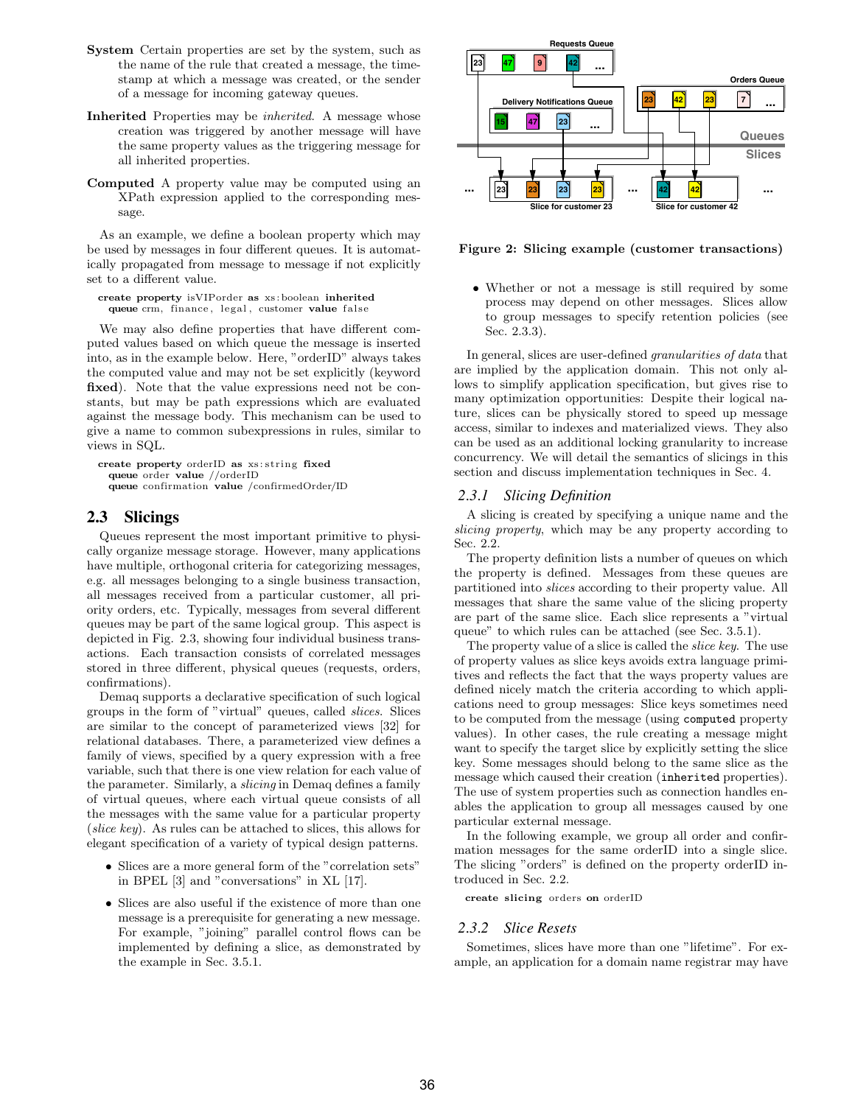- System Certain properties are set by the system, such as the name of the rule that created a message, the timestamp at which a message was created, or the sender of a message for incoming gateway queues.
- Inherited Properties may be inherited. A message whose creation was triggered by another message will have the same property values as the triggering message for all inherited properties.
- Computed A property value may be computed using an XPath expression applied to the corresponding message.

As an example, we define a boolean property which may be used by messages in four different queues. It is automatically propagated from message to message if not explicitly set to a different value.

```
create property isVIPorder as xs :boolean inherited
  queue crm, finance , legal , customer value false
```
We may also define properties that have different computed values based on which queue the message is inserted into, as in the example below. Here, "orderID" always takes the computed value and may not be set explicitly (keyword fixed). Note that the value expressions need not be constants, but may be path expressions which are evaluated against the message body. This mechanism can be used to give a name to common subexpressions in rules, similar to views in SQL.

```
create property orderID as xs : string fixed
  queue order value //orderID
  queue confirmation value /confirmedOrder/ID
```
# **2.3 Slicings**

Queues represent the most important primitive to physically organize message storage. However, many applications have multiple, orthogonal criteria for categorizing messages, e.g. all messages belonging to a single business transaction, all messages received from a particular customer, all priority orders, etc. Typically, messages from several different queues may be part of the same logical group. This aspect is depicted in Fig. 2.3, showing four individual business transactions. Each transaction consists of correlated messages stored in three different, physical queues (requests, orders, confirmations).

Demaq supports a declarative specification of such logical groups in the form of "virtual" queues, called slices. Slices are similar to the concept of parameterized views [32] for relational databases. There, a parameterized view defines a family of views, specified by a query expression with a free variable, such that there is one view relation for each value of the parameter. Similarly, a slicing in Demaq defines a family of virtual queues, where each virtual queue consists of all the messages with the same value for a particular property (slice key). As rules can be attached to slices, this allows for elegant specification of a variety of typical design patterns.

- Slices are a more general form of the "correlation sets" in BPEL [3] and "conversations" in XL [17].
- Slices are also useful if the existence of more than one message is a prerequisite for generating a new message. For example, "joining" parallel control flows can be implemented by defining a slice, as demonstrated by the example in Sec. 3.5.1.



Figure 2: Slicing example (customer transactions)

• Whether or not a message is still required by some process may depend on other messages. Slices allow to group messages to specify retention policies (see Sec. 2.3.3).

In general, slices are user-defined granularities of data that are implied by the application domain. This not only allows to simplify application specification, but gives rise to many optimization opportunities: Despite their logical nature, slices can be physically stored to speed up message access, similar to indexes and materialized views. They also can be used as an additional locking granularity to increase concurrency. We will detail the semantics of slicings in this section and discuss implementation techniques in Sec. 4.

### *2.3.1 Slicing Definition*

A slicing is created by specifying a unique name and the slicing property, which may be any property according to Sec. 2.2.

The property definition lists a number of queues on which the property is defined. Messages from these queues are partitioned into slices according to their property value. All messages that share the same value of the slicing property are part of the same slice. Each slice represents a "virtual queue" to which rules can be attached (see Sec. 3.5.1).

The property value of a slice is called the *slice key*. The use of property values as slice keys avoids extra language primitives and reflects the fact that the ways property values are defined nicely match the criteria according to which applications need to group messages: Slice keys sometimes need to be computed from the message (using computed property values). In other cases, the rule creating a message might want to specify the target slice by explicitly setting the slice key. Some messages should belong to the same slice as the message which caused their creation (inherited properties). The use of system properties such as connection handles enables the application to group all messages caused by one particular external message.

In the following example, we group all order and confirmation messages for the same orderID into a single slice. The slicing "orders" is defined on the property orderID introduced in Sec. 2.2.

create slicing orders on orderID

#### *2.3.2 Slice Resets*

Sometimes, slices have more than one "lifetime". For example, an application for a domain name registrar may have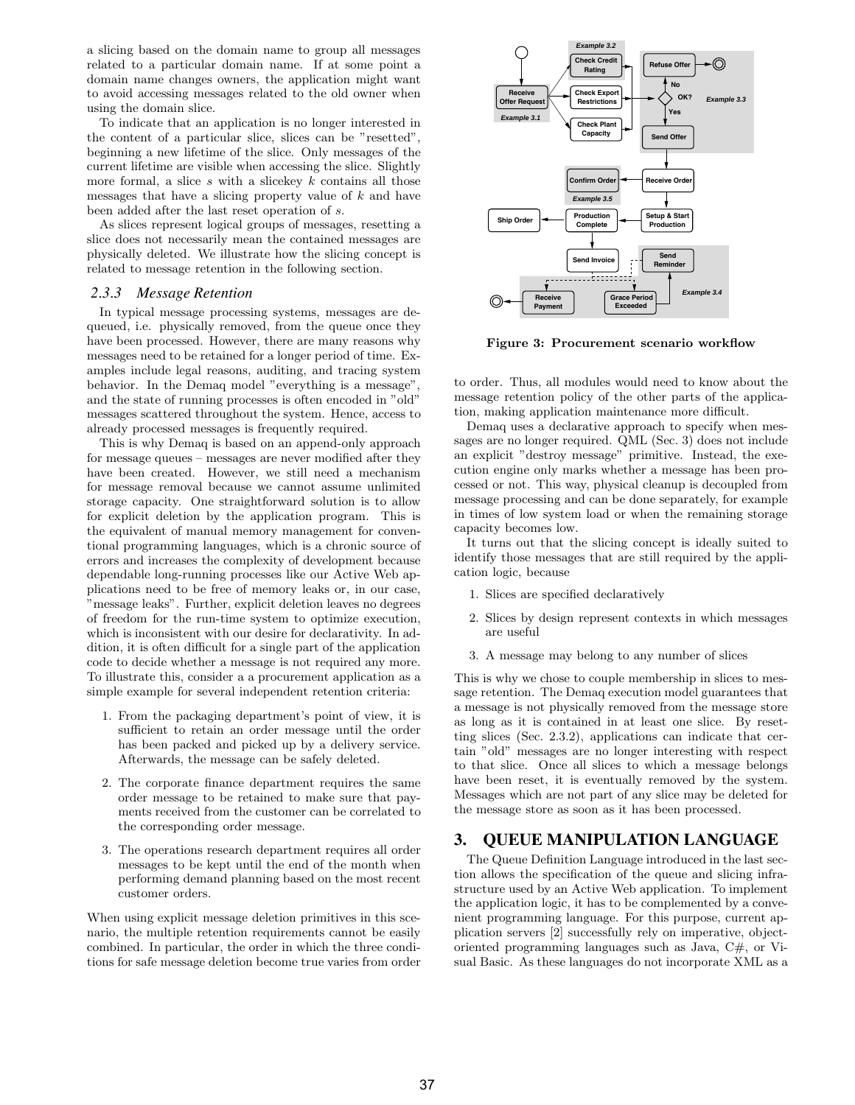a slicing based on the domain name to group all messages related to a particular domain name. If at some point a domain name changes owners, the application might want to avoid accessing messages related to the old owner when using the domain slice.

To indicate that an application is no longer interested in the content of a particular slice, slices can be "resetted", beginning a new lifetime of the slice. Only messages of the current lifetime are visible when accessing the slice. Slightly more formal, a slice  $s$  with a slicekey  $k$  contains all those messages that have a slicing property value of k and have been added after the last reset operation of s.

As slices represent logical groups of messages, resetting a slice does not necessarily mean the contained messages are physically deleted. We illustrate how the slicing concept is related to message retention in the following section.

#### *2.3.3 Message Retention*

In typical message processing systems, messages are dequeued, i.e. physically removed, from the queue once they have been processed. However, there are many reasons why messages need to be retained for a longer period of time. Examples include legal reasons, auditing, and tracing system behavior. In the Demaq model "everything is a message", and the state of running processes is often encoded in "old" messages scattered throughout the system. Hence, access to already processed messages is frequently required.

This is why Demaq is based on an append-only approach for message queues – messages are never modified after they have been created. However, we still need a mechanism for message removal because we cannot assume unlimited storage capacity. One straightforward solution is to allow for explicit deletion by the application program. This is the equivalent of manual memory management for conventional programming languages, which is a chronic source of errors and increases the complexity of development because dependable long-running processes like our Active Web applications need to be free of memory leaks or, in our case, message leaks". Further, explicit deletion leaves no degrees of freedom for the run-time system to optimize execution, which is inconsistent with our desire for declarativity. In addition, it is often difficult for a single part of the application code to decide whether a message is not required any more. To illustrate this, consider a a procurement application as a simple example for several independent retention criteria:

- 1. From the packaging department's point of view, it is sufficient to retain an order message until the order has been packed and picked up by a delivery service. Afterwards, the message can be safely deleted.
- 2. The corporate finance department requires the same order message to be retained to make sure that payments received from the customer can be correlated to the corresponding order message.
- 3. The operations research department requires all order messages to be kept until the end of the month when performing demand planning based on the most recent customer orders.

When using explicit message deletion primitives in this scenario, the multiple retention requirements cannot be easily combined. In particular, the order in which the three conditions for safe message deletion become true varies from order



Figure 3: Procurement scenario workflow

to order. Thus, all modules would need to know about the message retention policy of the other parts of the application, making application maintenance more difficult.

Demaq uses a declarative approach to specify when messages are no longer required. QML (Sec. 3) does not include an explicit "destroy message" primitive. Instead, the execution engine only marks whether a message has been processed or not. This way, physical cleanup is decoupled from message processing and can be done separately, for example in times of low system load or when the remaining storage capacity becomes low.

It turns out that the slicing concept is ideally suited to identify those messages that are still required by the application logic, because

- 1. Slices are specified declaratively
- 2. Slices by design represent contexts in which messages are useful
- 3. A message may belong to any number of slices

This is why we chose to couple membership in slices to message retention. The Demaq execution model guarantees that a message is not physically removed from the message store as long as it is contained in at least one slice. By resetting slices (Sec. 2.3.2), applications can indicate that certain "old" messages are no longer interesting with respect to that slice. Once all slices to which a message belongs have been reset, it is eventually removed by the system. Messages which are not part of any slice may be deleted for the message store as soon as it has been processed.

### **3. QUEUE MANIPULATION LANGUAGE**

The Queue Definition Language introduced in the last section allows the specification of the queue and slicing infrastructure used by an Active Web application. To implement the application logic, it has to be complemented by a convenient programming language. For this purpose, current application servers [2] successfully rely on imperative, objectoriented programming languages such as Java, C#, or Visual Basic. As these languages do not incorporate XML as a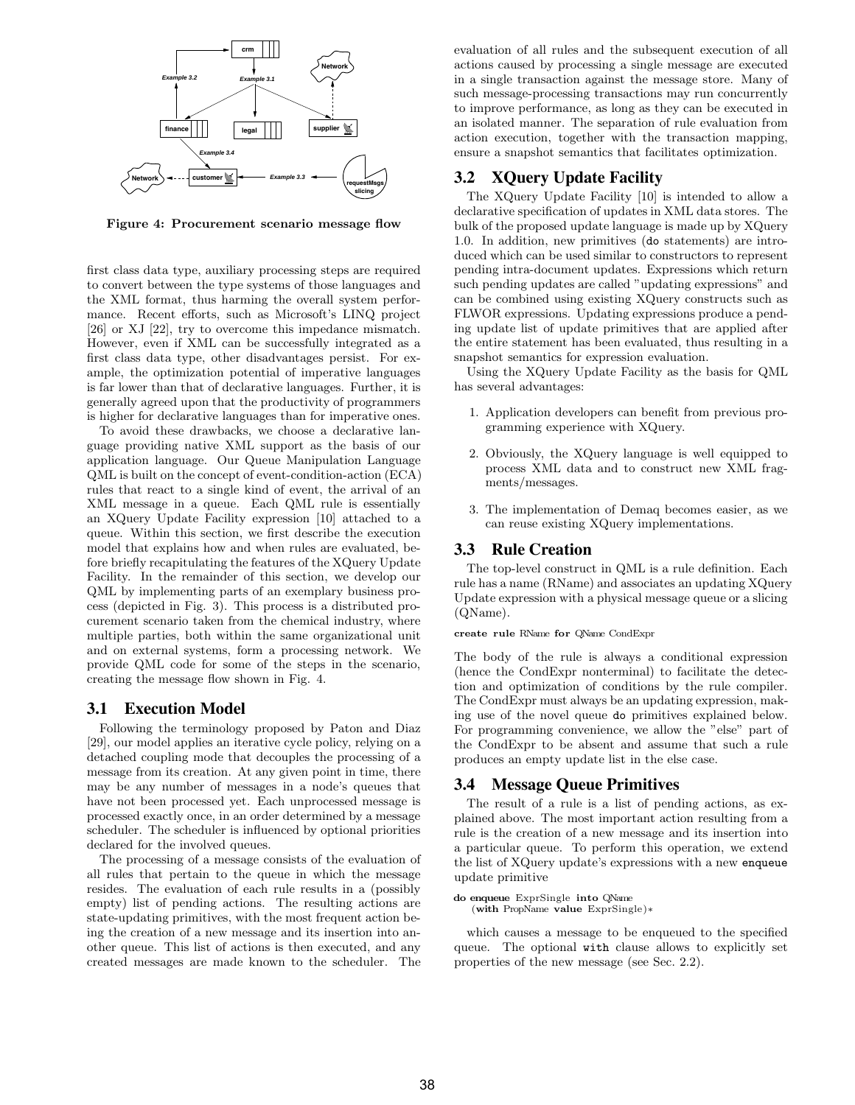

Figure 4: Procurement scenario message flow

first class data type, auxiliary processing steps are required to convert between the type systems of those languages and the XML format, thus harming the overall system performance. Recent efforts, such as Microsoft's LINQ project [26] or XJ [22], try to overcome this impedance mismatch. However, even if XML can be successfully integrated as a first class data type, other disadvantages persist. For example, the optimization potential of imperative languages is far lower than that of declarative languages. Further, it is generally agreed upon that the productivity of programmers is higher for declarative languages than for imperative ones.

To avoid these drawbacks, we choose a declarative language providing native XML support as the basis of our application language. Our Queue Manipulation Language QML is built on the concept of event-condition-action (ECA) rules that react to a single kind of event, the arrival of an XML message in a queue. Each QML rule is essentially an XQuery Update Facility expression [10] attached to a queue. Within this section, we first describe the execution model that explains how and when rules are evaluated, before briefly recapitulating the features of the XQuery Update Facility. In the remainder of this section, we develop our QML by implementing parts of an exemplary business process (depicted in Fig. 3). This process is a distributed procurement scenario taken from the chemical industry, where multiple parties, both within the same organizational unit and on external systems, form a processing network. We provide QML code for some of the steps in the scenario, creating the message flow shown in Fig. 4.

### **3.1 Execution Model**

Following the terminology proposed by Paton and Diaz [29], our model applies an iterative cycle policy, relying on a detached coupling mode that decouples the processing of a message from its creation. At any given point in time, there may be any number of messages in a node's queues that have not been processed yet. Each unprocessed message is processed exactly once, in an order determined by a message scheduler. The scheduler is influenced by optional priorities declared for the involved queues.

The processing of a message consists of the evaluation of all rules that pertain to the queue in which the message resides. The evaluation of each rule results in a (possibly empty) list of pending actions. The resulting actions are state-updating primitives, with the most frequent action being the creation of a new message and its insertion into another queue. This list of actions is then executed, and any created messages are made known to the scheduler. The evaluation of all rules and the subsequent execution of all actions caused by processing a single message are executed in a single transaction against the message store. Many of such message-processing transactions may run concurrently to improve performance, as long as they can be executed in an isolated manner. The separation of rule evaluation from action execution, together with the transaction mapping, ensure a snapshot semantics that facilitates optimization.

# **3.2 XQuery Update Facility**

The XQuery Update Facility [10] is intended to allow a declarative specification of updates in XML data stores. The bulk of the proposed update language is made up by XQuery 1.0. In addition, new primitives (do statements) are introduced which can be used similar to constructors to represent pending intra-document updates. Expressions which return such pending updates are called "updating expressions" and can be combined using existing XQuery constructs such as FLWOR expressions. Updating expressions produce a pending update list of update primitives that are applied after the entire statement has been evaluated, thus resulting in a snapshot semantics for expression evaluation.

Using the XQuery Update Facility as the basis for QML has several advantages:

- 1. Application developers can benefit from previous programming experience with XQuery.
- 2. Obviously, the XQuery language is well equipped to process XML data and to construct new XML fragments/messages.
- 3. The implementation of Demaq becomes easier, as we can reuse existing XQuery implementations.

#### **3.3 Rule Creation**

The top-level construct in QML is a rule definition. Each rule has a name (RName) and associates an updating XQuery Update expression with a physical message queue or a slicing (QName).

#### create rule RName for QName CondExpr

The body of the rule is always a conditional expression (hence the CondExpr nonterminal) to facilitate the detection and optimization of conditions by the rule compiler. The CondExpr must always be an updating expression, making use of the novel queue do primitives explained below. For programming convenience, we allow the "else" part of the CondExpr to be absent and assume that such a rule produces an empty update list in the else case.

#### **3.4 Message Queue Primitives**

The result of a rule is a list of pending actions, as explained above. The most important action resulting from a rule is the creation of a new message and its insertion into a particular queue. To perform this operation, we extend the list of XQuery update's expressions with a new enqueue update primitive

#### do enqueue ExprSingle into QName (with PropName value ExprSingle)∗

which causes a message to be enqueued to the specified queue. The optional with clause allows to explicitly set properties of the new message (see Sec. 2.2).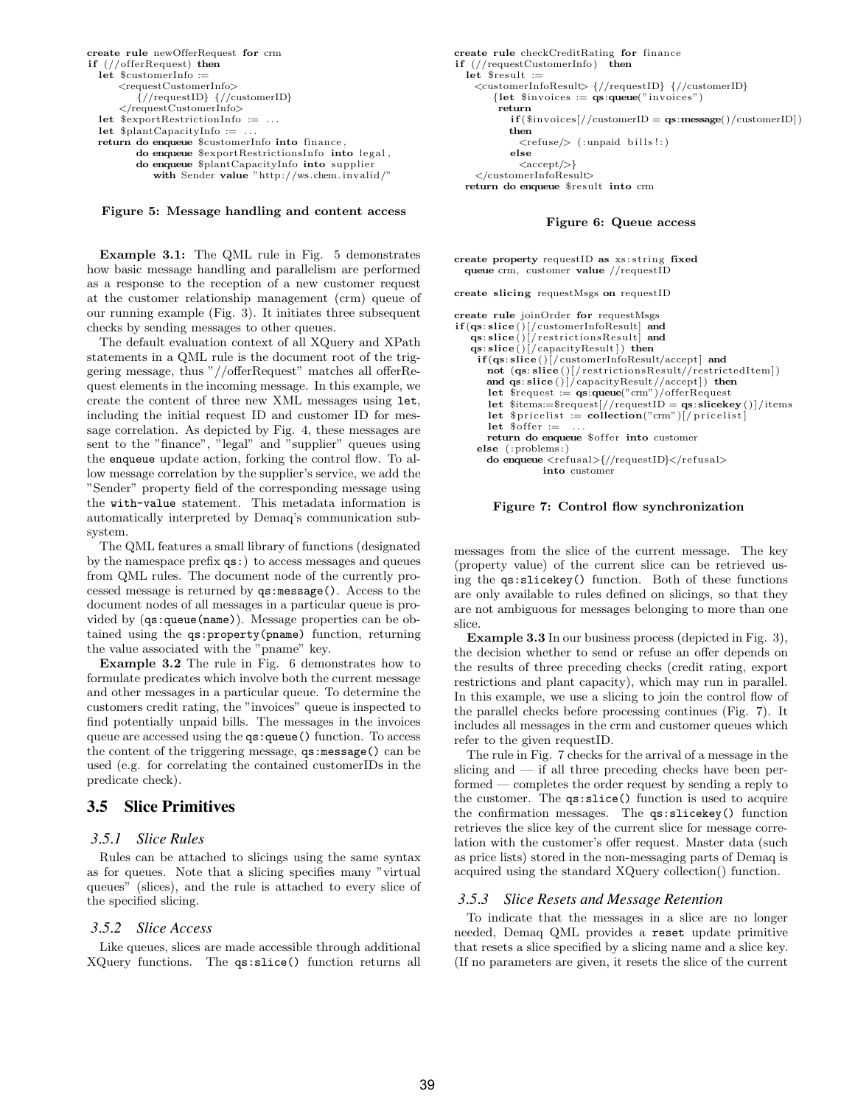```
create rule newOfferRequest for crm
if (//offerRequest) then
 let $customerInfo :=
      <requestCustomerInfo>
         \{{\rm //requestID}\} \{{\rm //customerID}\}\langlerequestCustomerInfo>let $exportRestrictionInfo := . . .
  let \philantCapacityInfo :=
 return do enqueue $customerInfo into finance ,
         do enqueue $exportRestrictionsInfo into legal ,
         do enqueue $plantCapacityInfo into supplier
            with Sender value "http://ws.chem. invalid/"
```
Figure 5: Message handling and content access

Example 3.1: The QML rule in Fig. 5 demonstrates how basic message handling and parallelism are performed as a response to the reception of a new customer request at the customer relationship management (crm) queue of our running example (Fig. 3). It initiates three subsequent checks by sending messages to other queues.

The default evaluation context of all XQuery and XPath statements in a QML rule is the document root of the triggering message, thus "//offerRequest" matches all offerRequest elements in the incoming message. In this example, we create the content of three new XML messages using let, including the initial request ID and customer ID for message correlation. As depicted by Fig. 4, these messages are sent to the "finance", "legal" and "supplier" queues using the enqueue update action, forking the control flow. To allow message correlation by the supplier's service, we add the "Sender" property field of the corresponding message using the with-value statement. This metadata information is automatically interpreted by Demaq's communication subsystem.

The QML features a small library of functions (designated by the namespace prefix qs:) to access messages and queues from QML rules. The document node of the currently processed message is returned by qs:message(). Access to the document nodes of all messages in a particular queue is provided by (qs:queue(name)). Message properties can be obtained using the qs:property(pname) function, returning the value associated with the "pname" key.

Example 3.2 The rule in Fig. 6 demonstrates how to formulate predicates which involve both the current message and other messages in a particular queue. To determine the customers credit rating, the "invoices" queue is inspected to find potentially unpaid bills. The messages in the invoices queue are accessed using the qs:queue() function. To access the content of the triggering message, qs:message() can be used (e.g. for correlating the contained customerIDs in the predicate check).

### **3.5 Slice Primitives**

#### *3.5.1 Slice Rules*

Rules can be attached to slicings using the same syntax as for queues. Note that a slicing specifies many "virtual queues" (slices), and the rule is attached to every slice of the specified slicing.

### *3.5.2 Slice Access*

Like queues, slices are made accessible through additional XQuery functions. The qs:slice() function returns all create rule checkCreditRating for finance if (//requestCustomerInfo) then let  $s$ result := <customerInfoResult> {//requestID} {//customerID} {let  $\text{sinvoices} := \text{qs:queue}("invoices")$ return  $if$  (\$invoices $//$ customerID = qs:message $()$ /customerID $])$ then  $\langle$ refuse $\rangle$  (:unpaid bills!:) else  $\langle accept \rangle\}$ </customerInfoResult> return do enqueue \$result into crm

#### Figure 6: Queue access

create property requestID as xs : string fixed queue crm, customer value //requestID

create slicing requestMsgs on requestID

```
create rule joinOrder for requestMsgs
if (qs: slice ()[/customerInfoResult] and
qs: slice ()[/ restrictionsResult] and
   qs: slice()[/capacityResult]) then
     if(qs:slice()[/customerInfoResult/accept] and
       not (qs: slice ()[/ restrictionsResult//restrictedItem] )
and qs: slice ()[/capacityResult//accept ] ) then
       let $request := qs:queue("crm")/offerRequest
       let $items:=$request]/requestID = qs:slicekey())/itemslet \text{5pricelist} := \text{collection("cm")}[/pricelist]
       let \deltaoffer :=
       return do enqueue $offer into customer
     else (: problems:
       do enqueue <refusal>{//requestID}</refusal>
                   into customer
```
#### Figure 7: Control flow synchronization

messages from the slice of the current message. The key (property value) of the current slice can be retrieved using the qs:slicekey() function. Both of these functions are only available to rules defined on slicings, so that they are not ambiguous for messages belonging to more than one slice.

Example 3.3 In our business process (depicted in Fig. 3), the decision whether to send or refuse an offer depends on the results of three preceding checks (credit rating, export restrictions and plant capacity), which may run in parallel. In this example, we use a slicing to join the control flow of the parallel checks before processing continues (Fig. 7). It includes all messages in the crm and customer queues which refer to the given requestID.

The rule in Fig. 7 checks for the arrival of a message in the slicing and — if all three preceding checks have been performed — completes the order request by sending a reply to the customer. The qs:slice() function is used to acquire the confirmation messages. The qs:slicekey() function retrieves the slice key of the current slice for message correlation with the customer's offer request. Master data (such as price lists) stored in the non-messaging parts of Demaq is acquired using the standard XQuery collection() function.

#### *3.5.3 Slice Resets and Message Retention*

To indicate that the messages in a slice are no longer needed, Demaq QML provides a reset update primitive that resets a slice specified by a slicing name and a slice key. (If no parameters are given, it resets the slice of the current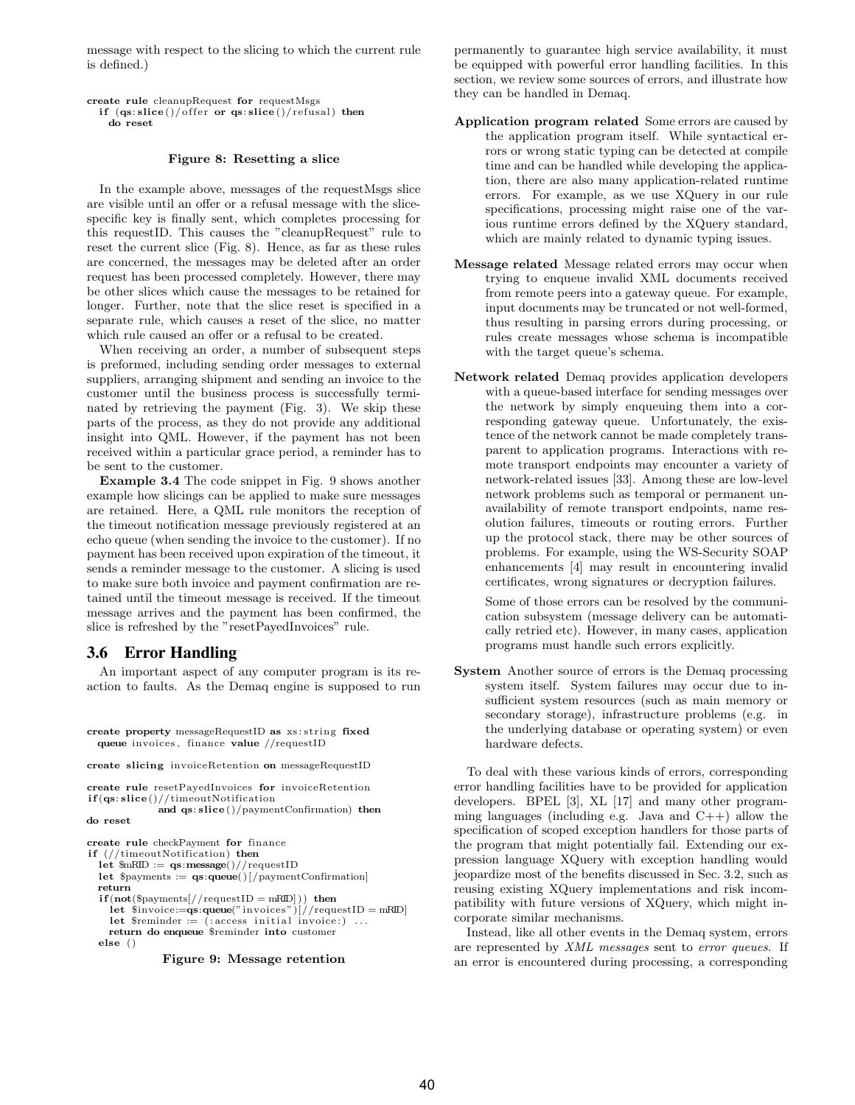message with respect to the slicing to which the current rule is defined.)

create rule cleanupRequest for requestMsgs if  $(qs: slice() / offer or qs: slice() / refusal) then$ do reset

#### Figure 8: Resetting a slice

In the example above, messages of the requestMsgs slice are visible until an offer or a refusal message with the slicespecific key is finally sent, which completes processing for this requestID. This causes the "cleanupRequest" rule to reset the current slice (Fig. 8). Hence, as far as these rules are concerned, the messages may be deleted after an order request has been processed completely. However, there may be other slices which cause the messages to be retained for longer. Further, note that the slice reset is specified in a separate rule, which causes a reset of the slice, no matter which rule caused an offer or a refusal to be created.

When receiving an order, a number of subsequent steps is preformed, including sending order messages to external suppliers, arranging shipment and sending an invoice to the customer until the business process is successfully terminated by retrieving the payment (Fig. 3). We skip these parts of the process, as they do not provide any additional insight into QML. However, if the payment has not been received within a particular grace period, a reminder has to be sent to the customer.

Example 3.4 The code snippet in Fig. 9 shows another example how slicings can be applied to make sure messages are retained. Here, a QML rule monitors the reception of the timeout notification message previously registered at an echo queue (when sending the invoice to the customer). If no payment has been received upon expiration of the timeout, it sends a reminder message to the customer. A slicing is used to make sure both invoice and payment confirmation are retained until the timeout message is received. If the timeout message arrives and the payment has been confirmed, the slice is refreshed by the "resetPayedInvoices" rule.

# **3.6 Error Handling**

An important aspect of any computer program is its reaction to faults. As the Demaq engine is supposed to run

create property messageRequestID as xs : string fixed queue invoices , finance value //requestID

create slicing invoiceRetention on messageRequestID

create rule resetPayedInvoices for invoiceRetention if (qs: slice ()//timeoutNotification

and qs: slice ()/paymentConfirmation) then do reset

create rule checkPayment for finance if (//timeoutNotification) then let  $mRID := qs: message() // requestID$ let  $\gamma$  = qs:queue()[/paymentConfirmation] return  $if (not ($payments]/requestID = mRID])$  then let  $\text{sinvoice}:=\text{qs:queue}("invoces")$ [//requestID = mRID] let  $\text{Sreminder} := (\text{access initial invoice:}) \dots$ return do enqueue \$reminder into customer else ()

Figure 9: Message retention

permanently to guarantee high service availability, it must be equipped with powerful error handling facilities. In this section, we review some sources of errors, and illustrate how they can be handled in Demaq.

- Application program related Some errors are caused by the application program itself. While syntactical errors or wrong static typing can be detected at compile time and can be handled while developing the application, there are also many application-related runtime errors. For example, as we use XQuery in our rule specifications, processing might raise one of the various runtime errors defined by the XQuery standard, which are mainly related to dynamic typing issues.
- Message related Message related errors may occur when trying to enqueue invalid XML documents received from remote peers into a gateway queue. For example, input documents may be truncated or not well-formed, thus resulting in parsing errors during processing, or rules create messages whose schema is incompatible with the target queue's schema.
- Network related Demaq provides application developers with a queue-based interface for sending messages over the network by simply enqueuing them into a corresponding gateway queue. Unfortunately, the existence of the network cannot be made completely transparent to application programs. Interactions with remote transport endpoints may encounter a variety of network-related issues [33]. Among these are low-level network problems such as temporal or permanent unavailability of remote transport endpoints, name resolution failures, timeouts or routing errors. Further up the protocol stack, there may be other sources of problems. For example, using the WS-Security SOAP enhancements [4] may result in encountering invalid certificates, wrong signatures or decryption failures.

Some of those errors can be resolved by the communication subsystem (message delivery can be automatically retried etc). However, in many cases, application programs must handle such errors explicitly.

System Another source of errors is the Demaq processing system itself. System failures may occur due to insufficient system resources (such as main memory or secondary storage), infrastructure problems (e.g. in the underlying database or operating system) or even hardware defects.

To deal with these various kinds of errors, corresponding error handling facilities have to be provided for application developers. BPEL [3], XL [17] and many other programming languages (including e.g. Java and  $C++$ ) allow the specification of scoped exception handlers for those parts of the program that might potentially fail. Extending our expression language XQuery with exception handling would jeopardize most of the benefits discussed in Sec. 3.2, such as reusing existing XQuery implementations and risk incompatibility with future versions of XQuery, which might incorporate similar mechanisms.

Instead, like all other events in the Demaq system, errors are represented by XML messages sent to error queues. If an error is encountered during processing, a corresponding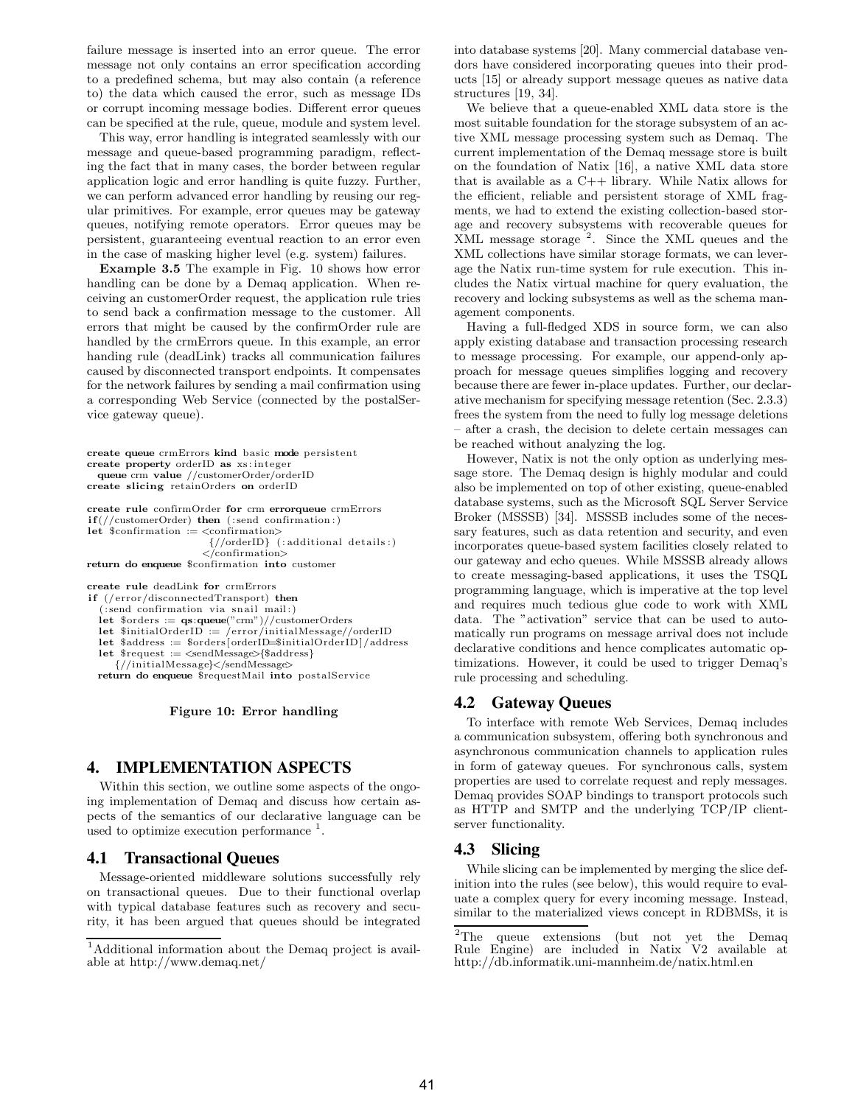failure message is inserted into an error queue. The error message not only contains an error specification according to a predefined schema, but may also contain (a reference to) the data which caused the error, such as message IDs or corrupt incoming message bodies. Different error queues can be specified at the rule, queue, module and system level.

This way, error handling is integrated seamlessly with our message and queue-based programming paradigm, reflecting the fact that in many cases, the border between regular application logic and error handling is quite fuzzy. Further, we can perform advanced error handling by reusing our regular primitives. For example, error queues may be gateway queues, notifying remote operators. Error queues may be persistent, guaranteeing eventual reaction to an error even in the case of masking higher level (e.g. system) failures.

Example 3.5 The example in Fig. 10 shows how error handling can be done by a Demaq application. When receiving an customerOrder request, the application rule tries to send back a confirmation message to the customer. All errors that might be caused by the confirmOrder rule are handled by the crmErrors queue. In this example, an error handing rule (deadLink) tracks all communication failures caused by disconnected transport endpoints. It compensates for the network failures by sending a mail confirmation using a corresponding Web Service (connected by the postalService gateway queue).

```
create queue crmErrors kind basic mode persistent
create property orderID as xs : integer
  queue crm value //customerOrder/orderID
create slicing retainOrders on orderID
create rule confirmOrder for crm errorqueue crmErrors
if // customerOrder) then (: send confirmation.)let \text{S}\text{conformation} := \text{conformation}{//orderID} ( : additional details : )
                      </confirmation>
return do enqueue $confirmation into customer
create rule deadLink for crmErrors
if (/error/disconnectedTransport) then
   ( : send confirmation via snail mail: )
  let $orders := qs:queue("crm")//customerOrders
```
let \$initialOrderID := /error/initialMessage//orderID

let \$address := \$orders [orderID=\$initialOrderID]/address

let \$request := <sendMessage>{\$address}

 $\frac{1}{\sqrt{1}}$ initialMessage>

return do enqueue \$requestMail into postalService

#### Figure 10: Error handling

### **4. IMPLEMENTATION ASPECTS**

Within this section, we outline some aspects of the ongoing implementation of Demaq and discuss how certain aspects of the semantics of our declarative language can be used to optimize execution performance  $<sup>1</sup>$ .</sup>

#### **4.1 Transactional Queues**

Message-oriented middleware solutions successfully rely on transactional queues. Due to their functional overlap with typical database features such as recovery and security, it has been argued that queues should be integrated into database systems [20]. Many commercial database vendors have considered incorporating queues into their products [15] or already support message queues as native data structures [19, 34].

We believe that a queue-enabled XML data store is the most suitable foundation for the storage subsystem of an active XML message processing system such as Demaq. The current implementation of the Demaq message store is built on the foundation of Natix [16], a native XML data store that is available as a  $C++$  library. While Natix allows for the efficient, reliable and persistent storage of XML fragments, we had to extend the existing collection-based storage and recovery subsystems with recoverable queues for XML message storage <sup>2</sup>. Since the XML queues and the XML collections have similar storage formats, we can leverage the Natix run-time system for rule execution. This includes the Natix virtual machine for query evaluation, the recovery and locking subsystems as well as the schema management components.

Having a full-fledged XDS in source form, we can also apply existing database and transaction processing research to message processing. For example, our append-only approach for message queues simplifies logging and recovery because there are fewer in-place updates. Further, our declarative mechanism for specifying message retention (Sec. 2.3.3) frees the system from the need to fully log message deletions – after a crash, the decision to delete certain messages can be reached without analyzing the log.

However, Natix is not the only option as underlying message store. The Demaq design is highly modular and could also be implemented on top of other existing, queue-enabled database systems, such as the Microsoft SQL Server Service Broker (MSSSB) [34]. MSSSB includes some of the necessary features, such as data retention and security, and even incorporates queue-based system facilities closely related to our gateway and echo queues. While MSSSB already allows to create messaging-based applications, it uses the TSQL programming language, which is imperative at the top level and requires much tedious glue code to work with XML data. The "activation" service that can be used to automatically run programs on message arrival does not include declarative conditions and hence complicates automatic optimizations. However, it could be used to trigger Demaq's rule processing and scheduling.

### **4.2 Gateway Queues**

To interface with remote Web Services, Demaq includes a communication subsystem, offering both synchronous and asynchronous communication channels to application rules in form of gateway queues. For synchronous calls, system properties are used to correlate request and reply messages. Demaq provides SOAP bindings to transport protocols such as HTTP and SMTP and the underlying TCP/IP clientserver functionality.

# **4.3 Slicing**

While slicing can be implemented by merging the slice definition into the rules (see below), this would require to evaluate a complex query for every incoming message. Instead, similar to the materialized views concept in RDBMSs, it is

<sup>1</sup>Additional information about the Demaq project is available at http://www.demaq.net/

 ${}^{2}$ The queue extensions (but not yet the Demaq Rule Engine) are included in Natix V2 available at are included in Natix V2 available at http://db.informatik.uni-mannheim.de/natix.html.en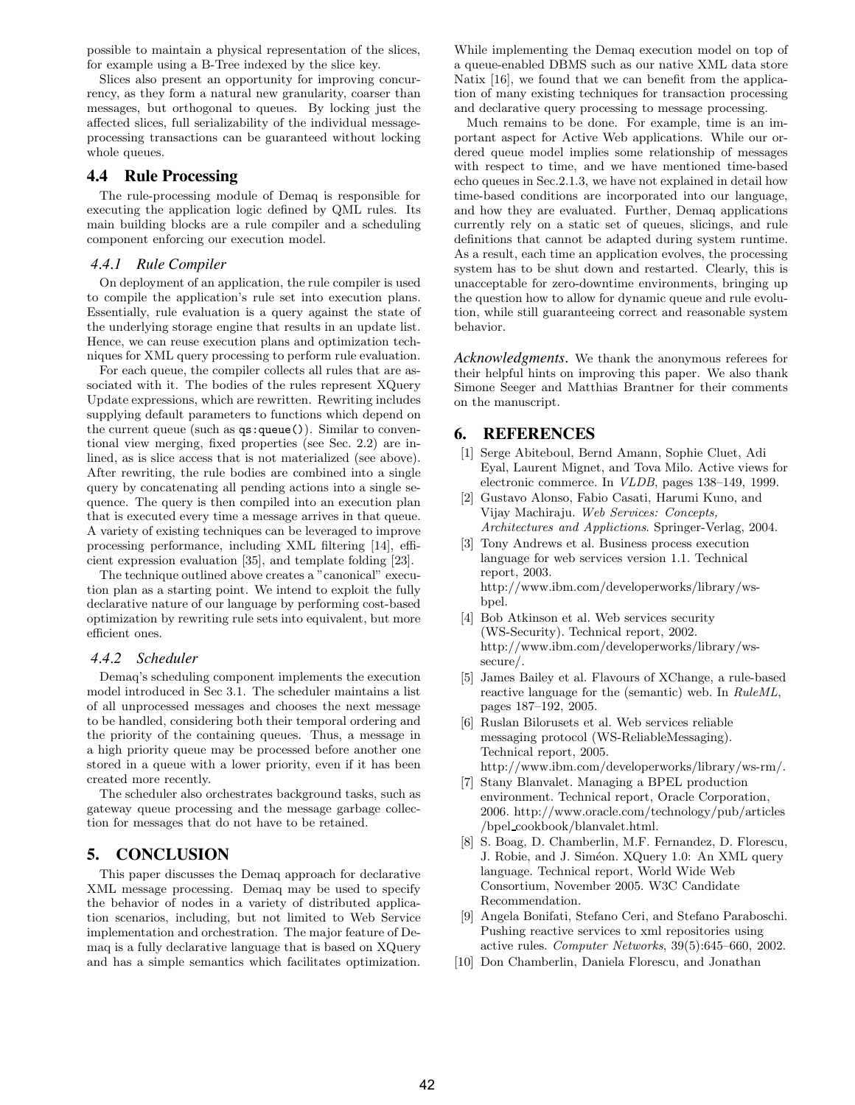possible to maintain a physical representation of the slices, for example using a B-Tree indexed by the slice key.

Slices also present an opportunity for improving concurrency, as they form a natural new granularity, coarser than messages, but orthogonal to queues. By locking just the affected slices, full serializability of the individual messageprocessing transactions can be guaranteed without locking whole queues.

# **4.4 Rule Processing**

The rule-processing module of Demaq is responsible for executing the application logic defined by QML rules. Its main building blocks are a rule compiler and a scheduling component enforcing our execution model.

#### *4.4.1 Rule Compiler*

On deployment of an application, the rule compiler is used to compile the application's rule set into execution plans. Essentially, rule evaluation is a query against the state of the underlying storage engine that results in an update list. Hence, we can reuse execution plans and optimization techniques for XML query processing to perform rule evaluation.

For each queue, the compiler collects all rules that are associated with it. The bodies of the rules represent XQuery Update expressions, which are rewritten. Rewriting includes supplying default parameters to functions which depend on the current queue (such as qs:queue()). Similar to conventional view merging, fixed properties (see Sec. 2.2) are inlined, as is slice access that is not materialized (see above). After rewriting, the rule bodies are combined into a single query by concatenating all pending actions into a single sequence. The query is then compiled into an execution plan that is executed every time a message arrives in that queue. A variety of existing techniques can be leveraged to improve processing performance, including XML filtering [14], efficient expression evaluation [35], and template folding [23].

The technique outlined above creates a "canonical" execution plan as a starting point. We intend to exploit the fully declarative nature of our language by performing cost-based optimization by rewriting rule sets into equivalent, but more efficient ones.

#### *4.4.2 Scheduler*

Demaq's scheduling component implements the execution model introduced in Sec 3.1. The scheduler maintains a list of all unprocessed messages and chooses the next message to be handled, considering both their temporal ordering and the priority of the containing queues. Thus, a message in a high priority queue may be processed before another one stored in a queue with a lower priority, even if it has been created more recently.

The scheduler also orchestrates background tasks, such as gateway queue processing and the message garbage collection for messages that do not have to be retained.

# **5. CONCLUSION**

This paper discusses the Demaq approach for declarative XML message processing. Demaq may be used to specify the behavior of nodes in a variety of distributed application scenarios, including, but not limited to Web Service implementation and orchestration. The major feature of Demaq is a fully declarative language that is based on XQuery and has a simple semantics which facilitates optimization.

While implementing the Demaq execution model on top of a queue-enabled DBMS such as our native XML data store Natix [16], we found that we can benefit from the application of many existing techniques for transaction processing and declarative query processing to message processing.

Much remains to be done. For example, time is an important aspect for Active Web applications. While our ordered queue model implies some relationship of messages with respect to time, and we have mentioned time-based echo queues in Sec.2.1.3, we have not explained in detail how time-based conditions are incorporated into our language, and how they are evaluated. Further, Demaq applications currently rely on a static set of queues, slicings, and rule definitions that cannot be adapted during system runtime. As a result, each time an application evolves, the processing system has to be shut down and restarted. Clearly, this is unacceptable for zero-downtime environments, bringing up the question how to allow for dynamic queue and rule evolution, while still guaranteeing correct and reasonable system behavior.

*Acknowledgments.* We thank the anonymous referees for their helpful hints on improving this paper. We also thank Simone Seeger and Matthias Brantner for their comments on the manuscript.

# **6. REFERENCES**

- [1] Serge Abiteboul, Bernd Amann, Sophie Cluet, Adi Eyal, Laurent Mignet, and Tova Milo. Active views for electronic commerce. In VLDB, pages 138–149, 1999.
- [2] Gustavo Alonso, Fabio Casati, Harumi Kuno, and Vijay Machiraju. Web Services: Concepts, Architectures and Applictions. Springer-Verlag, 2004.
- [3] Tony Andrews et al. Business process execution language for web services version 1.1. Technical report, 2003. http://www.ibm.com/developerworks/library/wsbpel.
- [4] Bob Atkinson et al. Web services security (WS-Security). Technical report, 2002. http://www.ibm.com/developerworks/library/wssecure/.
- [5] James Bailey et al. Flavours of XChange, a rule-based reactive language for the (semantic) web. In RuleML, pages 187–192, 2005.
- [6] Ruslan Bilorusets et al. Web services reliable messaging protocol (WS-ReliableMessaging). Technical report, 2005. http://www.ibm.com/developerworks/library/ws-rm/.
- [7] Stany Blanvalet. Managing a BPEL production environment. Technical report, Oracle Corporation, 2006. http://www.oracle.com/technology/pub/articles /bpel cookbook/blanvalet.html.
- [8] S. Boag, D. Chamberlin, M.F. Fernandez, D. Florescu, J. Robie, and J. Siméon. XQuery 1.0: An XML query language. Technical report, World Wide Web Consortium, November 2005. W3C Candidate Recommendation.
- [9] Angela Bonifati, Stefano Ceri, and Stefano Paraboschi. Pushing reactive services to xml repositories using active rules. Computer Networks, 39(5):645–660, 2002.
- [10] Don Chamberlin, Daniela Florescu, and Jonathan